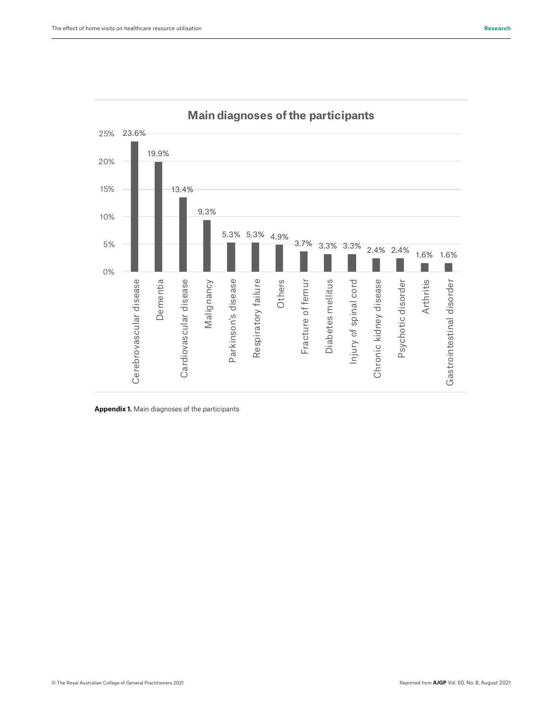

**Main diagnoses of the participants**

**Appendix 1.** Main diagnoses of the participants